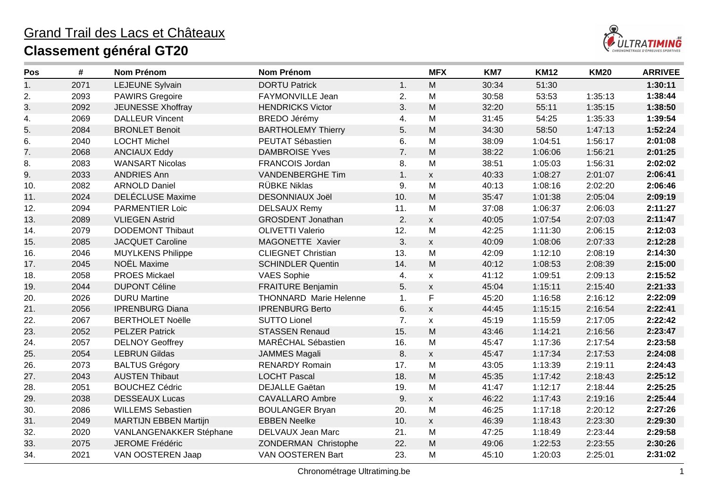

| Pos | #    | <b>Nom Prénom</b>            | <b>Nom Prénom</b>             |     | <b>MFX</b>                | KM7   | <b>KM12</b> | <b>KM20</b> | <b>ARRIVEE</b> |
|-----|------|------------------------------|-------------------------------|-----|---------------------------|-------|-------------|-------------|----------------|
| 1.  | 2071 | LEJEUNE Sylvain              | <b>DORTU Patrick</b>          | 1.  | M                         | 30:34 | 51:30       |             | 1:30:11        |
| 2.  | 2093 | <b>PAWIRS Gregoire</b>       | FAYMONVILLE Jean              | 2.  | M                         | 30:58 | 53:53       | 1:35:13     | 1:38:44        |
| 3.  | 2092 | JEUNESSE Xhoffray            | <b>HENDRICKS Victor</b>       | 3.  | M                         | 32:20 | 55:11       | 1:35:15     | 1:38:50        |
| 4.  | 2069 | <b>DALLEUR Vincent</b>       | <b>BREDO Jérémy</b>           | 4.  | M                         | 31:45 | 54:25       | 1:35:33     | 1:39:54        |
| 5.  | 2084 | <b>BRONLET Benoit</b>        | <b>BARTHOLEMY Thierry</b>     | 5.  | M                         | 34:30 | 58:50       | 1:47:13     | 1:52:24        |
| 6.  | 2040 | <b>LOCHT Michel</b>          | PEUTAT Sébastien              | 6.  | M                         | 38:09 | 1:04:51     | 1:56:17     | 2:01:08        |
| 7.  | 2068 | <b>ANCIAUX Eddy</b>          | <b>DAMBROISE Yves</b>         | 7.  | M                         | 38:22 | 1:06:06     | 1:56:21     | 2:01:25        |
| 8.  | 2083 | <b>WANSART Nicolas</b>       | FRANCOIS Jordan               | 8.  | M                         | 38:51 | 1:05:03     | 1:56:31     | 2:02:02        |
| 9.  | 2033 | <b>ANDRIES Ann</b>           | <b>VANDENBERGHE Tim</b>       | 1.  | $\mathsf{X}$              | 40:33 | 1:08:27     | 2:01:07     | 2:06:41        |
| 10. | 2082 | <b>ARNOLD Daniel</b>         | <b>RÜBKE Niklas</b>           | 9.  | M                         | 40:13 | 1:08:16     | 2:02:20     | 2:06:46        |
| 11. | 2024 | <b>DELÉCLUSE Maxime</b>      | <b>DESONNIAUX Joël</b>        | 10. | M                         | 35:47 | 1:01:38     | 2:05:04     | 2:09:19        |
| 12. | 2094 | <b>PARMENTIER Loic</b>       | <b>DELSAUX Remy</b>           | 11. | M                         | 37:08 | 1:06:37     | 2:06:03     | 2:11:27        |
| 13. | 2089 | <b>VLIEGEN Astrid</b>        | <b>GROSDENT Jonathan</b>      | 2.  | $\mathsf{x}$              | 40:05 | 1:07:54     | 2:07:03     | 2:11:47        |
| 14. | 2079 | <b>DODEMONT Thibaut</b>      | <b>OLIVETTI Valerio</b>       | 12. | M                         | 42:25 | 1:11:30     | 2:06:15     | 2:12:03        |
| 15. | 2085 | <b>JACQUET Caroline</b>      | MAGONETTE Xavier              | 3.  | $\mathsf{x}$              | 40:09 | 1:08:06     | 2:07:33     | 2:12:28        |
| 16. | 2046 | <b>MUYLKENS Philippe</b>     | <b>CLIEGNET Christian</b>     | 13. | M                         | 42:09 | 1:12:10     | 2:08:19     | 2:14:30        |
| 17. | 2045 | NOËL Maxime                  | <b>SCHINDLER Quentin</b>      | 14. | M                         | 40:12 | 1:08:53     | 2:08:39     | 2:15:00        |
| 18. | 2058 | <b>PROES Mickael</b>         | <b>VAES Sophie</b>            | 4.  | $\mathsf{x}$              | 41:12 | 1:09:51     | 2:09:13     | 2:15:52        |
| 19. | 2044 | <b>DUPONT Céline</b>         | <b>FRAITURE Benjamin</b>      | 5.  | $\mathsf{X}$              | 45:04 | 1:15:11     | 2:15:40     | 2:21:33        |
| 20. | 2026 | <b>DURU Martine</b>          | <b>THONNARD Marie Helenne</b> | 1.  | $\mathsf F$               | 45:20 | 1:16:58     | 2:16:12     | 2:22:09        |
| 21. | 2056 | <b>IPRENBURG Diana</b>       | <b>IPRENBURG Berto</b>        | 6.  | $\pmb{\mathsf{X}}$        | 44:45 | 1:15:15     | 2:16:54     | 2:22:41        |
| 22. | 2067 | <b>BERTHOLET Noëlle</b>      | <b>SUTTO Lionel</b>           | 7.  | $\mathsf{x}$              | 45:19 | 1:15:59     | 2:17:05     | 2:22:42        |
| 23. | 2052 | <b>PELZER Patrick</b>        | <b>STASSEN Renaud</b>         | 15. | M                         | 43:46 | 1:14:21     | 2:16:56     | 2:23:47        |
| 24. | 2057 | <b>DELNOY Geoffrey</b>       | MARÉCHAL Sébastien            | 16. | M                         | 45:47 | 1:17:36     | 2:17:54     | 2:23:58        |
| 25. | 2054 | <b>LEBRUN Gildas</b>         | <b>JAMMES Magali</b>          | 8.  | $\mathsf{X}$              | 45:47 | 1:17:34     | 2:17:53     | 2:24:08        |
| 26. | 2073 | <b>BALTUS Grégory</b>        | <b>RENARDY Romain</b>         | 17. | M                         | 43:05 | 1:13:39     | 2:19:11     | 2:24:43        |
| 27. | 2043 | <b>AUSTEN Thibaut</b>        | <b>LOCHT Pascal</b>           | 18. | M                         | 45:35 | 1:17:42     | 2:18:43     | 2:25:12        |
| 28. | 2051 | <b>BOUCHEZ Cédric</b>        | <b>DEJALLE Gaëtan</b>         | 19. | M                         | 41:47 | 1:12:17     | 2:18:44     | 2:25:25        |
| 29. | 2038 | <b>DESSEAUX Lucas</b>        | <b>CAVALLARO Ambre</b>        | 9.  | $\boldsymbol{\mathsf{X}}$ | 46:22 | 1:17:43     | 2:19:16     | 2:25:44        |
| 30. | 2086 | <b>WILLEMS Sebastien</b>     | <b>BOULANGER Bryan</b>        | 20. | M                         | 46:25 | 1:17:18     | 2:20:12     | 2:27:26        |
| 31. | 2049 | <b>MARTIJN EBBEN Martijn</b> | <b>EBBEN Neelke</b>           | 10. | $\mathsf{x}$              | 46:39 | 1:18:43     | 2:23:30     | 2:29:30        |
| 32. | 2020 | VANLANGENAKKER Stéphane      | DELVAUX Jean Marc             | 21. | M                         | 47:25 | 1:18:49     | 2:23:44     | 2:29:58        |
| 33. | 2075 | JEROME Frédéric              | ZONDERMAN Christophe          | 22. | M                         | 49:06 | 1:22:53     | 2:23:55     | 2:30:26        |
| 34. | 2021 | VAN OOSTEREN Jaap            | VAN OOSTEREN Bart             | 23. | M                         | 45:10 | 1:20:03     | 2:25:01     | 2:31:02        |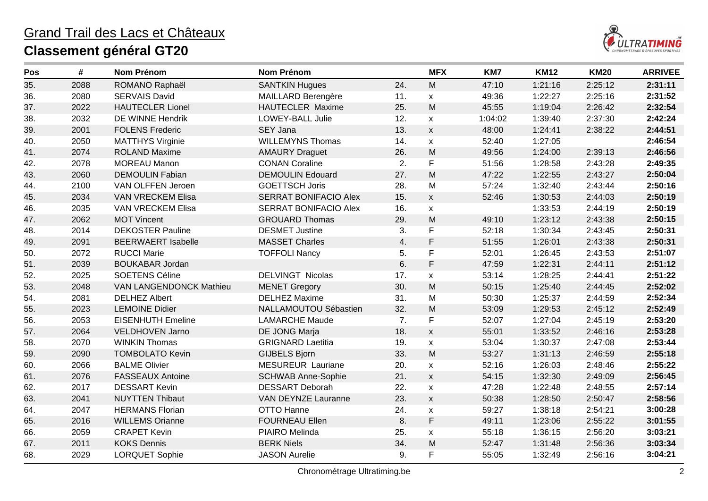

| Pos | #    | <b>Nom Prénom</b>         | <b>Nom Prénom</b>            |     | <b>MFX</b>         | KM7     | <b>KM12</b> | <b>KM20</b> | <b>ARRIVEE</b> |
|-----|------|---------------------------|------------------------------|-----|--------------------|---------|-------------|-------------|----------------|
| 35. | 2088 | ROMANO Raphaël            | <b>SANTKIN Hugues</b>        | 24. | M                  | 47:10   | 1:21:16     | 2:25:12     | 2:31:11        |
| 36. | 2080 | <b>SERVAIS David</b>      | <b>MAILLARD Berengère</b>    | 11. | $\mathsf{X}$       | 49:36   | 1:22:27     | 2:25:16     | 2:31:52        |
| 37. | 2022 | <b>HAUTECLER Lionel</b>   | HAUTECLER Maxime             | 25. | M                  | 45:55   | 1:19:04     | 2:26:42     | 2:32:54        |
| 38. | 2032 | DE WINNE Hendrik          | <b>LOWEY-BALL Julie</b>      | 12. | $\mathsf{x}$       | 1:04:02 | 1:39:40     | 2:37:30     | 2:42:24        |
| 39. | 2001 | <b>FOLENS Frederic</b>    | <b>SEY Jana</b>              | 13. | $\pmb{\mathsf{X}}$ | 48:00   | 1:24:41     | 2:38:22     | 2:44:51        |
| 40. | 2050 | <b>MATTHYS Virginie</b>   | <b>WILLEMYNS Thomas</b>      | 14. | $\pmb{\mathsf{X}}$ | 52:40   | 1:27:05     |             | 2:46:54        |
| 41. | 2074 | <b>ROLAND Maxime</b>      | <b>AMAURY Draguet</b>        | 26. | ${\sf M}$          | 49:56   | 1:24:00     | 2:39:13     | 2:46:56        |
| 42. | 2078 | <b>MOREAU Manon</b>       | <b>CONAN Coraline</b>        | 2.  | F                  | 51:56   | 1:28:58     | 2:43:28     | 2:49:35        |
| 43. | 2060 | <b>DEMOULIN Fabian</b>    | <b>DEMOULIN Edouard</b>      | 27. | M                  | 47:22   | 1:22:55     | 2:43:27     | 2:50:04        |
| 44. | 2100 | VAN OLFFEN Jeroen         | <b>GOETTSCH Joris</b>        | 28. | M                  | 57:24   | 1:32:40     | 2:43:44     | 2:50:16        |
| 45. | 2034 | VAN VRECKEM Elisa         | SERRAT BONIFACIO Alex        | 15. | $\mathsf{x}$       | 52:46   | 1:30:53     | 2:44:03     | 2:50:19        |
| 46. | 2035 | VAN VRECKEM Elisa         | <b>SERRAT BONIFACIO Alex</b> | 16. | $\pmb{\mathsf{X}}$ |         | 1:33:53     | 2:44:19     | 2:50:19        |
| 47. | 2062 | <b>MOT Vincent</b>        | <b>GROUARD Thomas</b>        | 29. | M                  | 49:10   | 1:23:12     | 2:43:38     | 2:50:15        |
| 48. | 2014 | <b>DEKOSTER Pauline</b>   | <b>DESMET Justine</b>        | 3.  | F                  | 52:18   | 1:30:34     | 2:43:45     | 2:50:31        |
| 49. | 2091 | <b>BEERWAERT Isabelle</b> | <b>MASSET Charles</b>        | 4.  | F                  | 51:55   | 1:26:01     | 2:43:38     | 2:50:31        |
| 50. | 2072 | <b>RUCCI Marie</b>        | <b>TOFFOLI Nancy</b>         | 5.  | F                  | 52:01   | 1:26:45     | 2:43:53     | 2:51:07        |
| 51. | 2039 | <b>BOUKABAR Jordan</b>    |                              | 6.  | $\mathsf F$        | 47:59   | 1:22:31     | 2:44:11     | 2:51:12        |
| 52. | 2025 | <b>SOETENS Céline</b>     | <b>DELVINGT Nicolas</b>      | 17. | $\pmb{\mathsf{X}}$ | 53:14   | 1:28:25     | 2:44:41     | 2:51:22        |
| 53. | 2048 | VAN LANGENDONCK Mathieu   | <b>MENET Gregory</b>         | 30. | ${\sf M}$          | 50:15   | 1:25:40     | 2:44:45     | 2:52:02        |
| 54. | 2081 | <b>DELHEZ Albert</b>      | <b>DELHEZ Maxime</b>         | 31. | M                  | 50:30   | 1:25:37     | 2:44:59     | 2:52:34        |
| 55. | 2023 | <b>LEMOINE Didier</b>     | NALLAMOUTOU Sébastien        | 32. | ${\sf M}$          | 53:09   | 1:29:53     | 2:45:12     | 2:52:49        |
| 56. | 2053 | <b>EISENHUTH Emeline</b>  | <b>LAMARCHE Maude</b>        | 7.  | F                  | 52:07   | 1:27:04     | 2:45:19     | 2:53:20        |
| 57. | 2064 | VELDHOVEN Jarno           | DE JONG Marja                | 18. | $\pmb{\mathsf{X}}$ | 55:01   | 1:33:52     | 2:46:16     | 2:53:28        |
| 58. | 2070 | <b>WINKIN Thomas</b>      | <b>GRIGNARD Laetitia</b>     | 19. | $\mathsf{X}$       | 53:04   | 1:30:37     | 2:47:08     | 2:53:44        |
| 59. | 2090 | <b>TOMBOLATO Kevin</b>    | <b>GIJBELS Bjorn</b>         | 33. | M                  | 53:27   | 1:31:13     | 2:46:59     | 2:55:18        |
| 60. | 2066 | <b>BALME Olivier</b>      | <b>MESUREUR Lauriane</b>     | 20. | $\mathsf{x}$       | 52:16   | 1:26:03     | 2:48:46     | 2:55:22        |
| 61. | 2076 | <b>FASSEAUX Antoine</b>   | <b>SCHWAB Anne-Sophie</b>    | 21. | $\mathsf{x}$       | 54:15   | 1:32:30     | 2:49:09     | 2:56:45        |
| 62. | 2017 | <b>DESSART Kevin</b>      | <b>DESSART Deborah</b>       | 22. | $\mathsf{x}$       | 47:28   | 1:22:48     | 2:48:55     | 2:57:14        |
| 63. | 2041 | <b>NUYTTEN Thibaut</b>    | VAN DEYNZE Lauranne          | 23. | $\pmb{\chi}$       | 50:38   | 1:28:50     | 2:50:47     | 2:58:56        |
| 64. | 2047 | <b>HERMANS Florian</b>    | OTTO Hanne                   | 24. | $\pmb{\mathsf{X}}$ | 59:27   | 1:38:18     | 2:54:21     | 3:00:28        |
| 65. | 2016 | <b>WILLEMS Orianne</b>    | <b>FOURNEAU Ellen</b>        | 8.  | $\mathsf F$        | 49:11   | 1:23:06     | 2:55:22     | 3:01:55        |
| 66. | 2059 | <b>CRAPET Kevin</b>       | PIAIRO Melinda               | 25. | $\mathsf X$        | 55:18   | 1:36:15     | 2:56:20     | 3:03:21        |
| 67. | 2011 | <b>KOKS Dennis</b>        | <b>BERK Niels</b>            | 34. | M                  | 52:47   | 1:31:48     | 2:56:36     | 3:03:34        |
| 68. | 2029 | <b>LORQUET Sophie</b>     | <b>JASON Aurelie</b>         | 9.  | F                  | 55:05   | 1:32:49     | 2:56:16     | 3:04:21        |